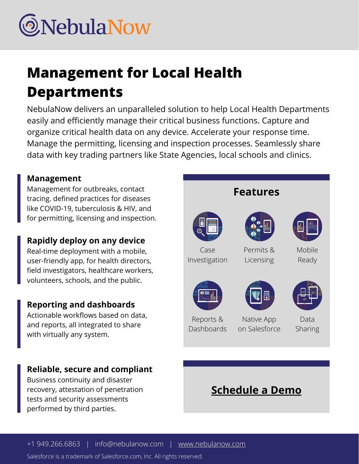

# **Management for Local Health Departments**

NebulaNow delivers an unparalleled solution to help Local Health Departments easily and efficiently manage their critical business functions. Capture and organize critical health data on any device. Accelerate your response time. Manage the permitting, licensing and inspection processes. Seamlessly share data with key trading partners like State Agencies, local schools and clinics.

#### **Management**

Management for outbreaks, contact tracing. defined practices for diseases like COVID-19, tuberculosis & HIV, and for permitting, licensing and inspection.

#### **Rapidly deploy on any device**

Real-time deployment with a mobile, user-friendly app, for health directors, field investigators, healthcare workers, volunteers, schools, and the public.

#### **Reporting and dashboards**

Actionable workflows based on data, and reports, all integrated to share with virtually any system.

#### **Reliable, secure and compliant**

Business continuity and disaster recovery, attestation of penetration tests and security assessments performed by third parties.



Salesforce is a trademark of Salesforce.com, Inc. All rights reserved.